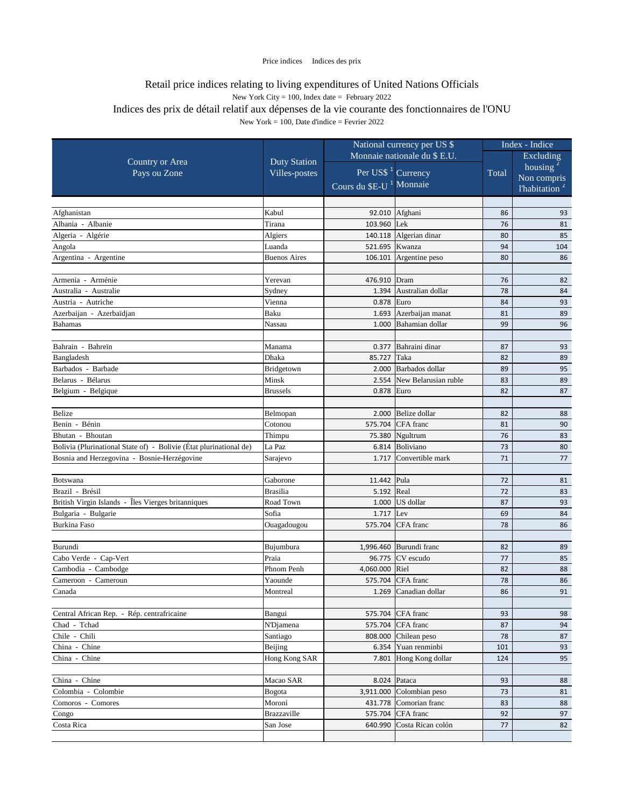|                                                                    |                     | National currency per US \$         |                                                      |          | Index - Indice            |  |  |
|--------------------------------------------------------------------|---------------------|-------------------------------------|------------------------------------------------------|----------|---------------------------|--|--|
|                                                                    |                     | Monnaie nationale du \$ E.U.        |                                                      |          | Excluding                 |  |  |
| <b>Country or Area</b>                                             | <b>Duty Station</b> |                                     |                                                      |          | housing '                 |  |  |
| Pays ou Zone                                                       | Villes-postes       |                                     | Per US\$ <sup>1</sup> Currency                       | Total    | Non compris               |  |  |
|                                                                    |                     | Cours du \$E-U <sup>1</sup> Monnaie |                                                      |          | l'habitation <sup>2</sup> |  |  |
|                                                                    |                     |                                     |                                                      |          |                           |  |  |
| Afghanistan                                                        | Kabul               |                                     | 92.010 Afghani                                       | 86       | 93                        |  |  |
| Albania - Albanie                                                  | Tirana              | 103.960                             | Lek                                                  | 76       | 81                        |  |  |
| Algeria - Algérie                                                  | Algiers             | 140.118                             | Algerian dinar                                       | 80       | 85                        |  |  |
| Angola                                                             | Luanda              |                                     | 521.695 Kwanza                                       | 94       | 104                       |  |  |
| Argentina - Argentine                                              | <b>Buenos Aires</b> |                                     | 106.101 Argentine peso                               | 80       | 86                        |  |  |
|                                                                    |                     |                                     |                                                      |          |                           |  |  |
| Armenia - Arménie                                                  | Yerevan             | 476.910                             | Dram                                                 | 76       | 82                        |  |  |
| Australia - Australie                                              | Sydney              |                                     | 1.394 Australian dollar                              | 78       | 84                        |  |  |
| Austria - Autriche                                                 | Vienna              | 0.878                               | Euro                                                 | 84       | 93                        |  |  |
| Azerbaijan - Azerbaïdjan                                           | Baku                | 1.693                               | Azerbaijan manat                                     | 81       | 89                        |  |  |
| <b>Bahamas</b>                                                     | Nassau              | 1.000                               | Bahamian dollar                                      | 99       | 96                        |  |  |
|                                                                    |                     |                                     |                                                      |          |                           |  |  |
| Bahrain - Bahreïn                                                  | Manama              | 0.377                               | Bahraini dinar                                       | 87       | 93                        |  |  |
| Bangladesh                                                         | Dhaka               | 85.727                              | Taka                                                 | 82       | 89                        |  |  |
| Barbados - Barbade                                                 | Bridgetown          | 2.000                               | Barbados dollar                                      | 89       | 95                        |  |  |
| Belarus - Bélarus                                                  | Minsk               |                                     | 2.554 New Belarusian ruble                           | 83       | 89                        |  |  |
| Belgium - Belgique                                                 | <b>Brussels</b>     | 0.878                               | Euro                                                 | 82       | 87                        |  |  |
|                                                                    |                     |                                     |                                                      |          |                           |  |  |
| <b>Belize</b>                                                      | Belmopan            | 2.000                               | Belize dollar                                        | 82       | 88                        |  |  |
| Benin - Bénin                                                      | Cotonou             | 575.704                             | CFA franc                                            | 81       | 90                        |  |  |
| Bhutan - Bhoutan                                                   | Thimpu              |                                     | 75.380 Ngultrum                                      | 76       | 83                        |  |  |
| Bolivia (Plurinational State of) - Bolivie (État plurinational de) | La Paz              |                                     | 6.814 Boliviano                                      | 73       | 80                        |  |  |
| Bosnia and Herzegovina - Bosnie-Herzégovine                        | Sarajevo            | 1.717                               | Convertible mark                                     | 71       | 77                        |  |  |
|                                                                    |                     |                                     |                                                      |          |                           |  |  |
| Botswana                                                           | Gaborone            | 11.442 Pula                         |                                                      | $72\,$   | 81                        |  |  |
| Brazil - Brésil                                                    | <b>Brasilia</b>     | 5.192 Real                          |                                                      | 72       | 83                        |  |  |
| British Virgin Islands - Îles Vierges britanniques                 | Road Town           |                                     | $1.000$ US dollar                                    | 87       | 93                        |  |  |
| Bulgaria - Bulgarie                                                | Sofia               | $1.717$ Lev                         |                                                      | 69       | 84                        |  |  |
| <b>Burkina Faso</b>                                                | Ouagadougou         |                                     | 575.704 CFA franc                                    | 78       | 86                        |  |  |
|                                                                    |                     |                                     |                                                      |          |                           |  |  |
| Burundi                                                            | Bujumbura           |                                     | 1,996.460 Burundi franc                              | 82       | 89                        |  |  |
| Cabo Verde - Cap-Vert                                              | Praia               |                                     | 96.775 $ CV$ escudo                                  | 77       | 85                        |  |  |
| Cambodia - Cambodge                                                | Phnom Penh          | 4,060.000 Riel                      |                                                      | 82       | 88                        |  |  |
| Cameroon - Cameroun                                                | Yaounde             |                                     | 575.704 CFA franc                                    | 78       | 86                        |  |  |
| Canada                                                             | Montreal            | 1.269                               | Canadian dollar                                      | 86       | 91                        |  |  |
|                                                                    |                     |                                     | 575.704 CFA franc                                    |          |                           |  |  |
| Central African Rep. - Rép. centrafricaine                         | Bangui              |                                     | 575.704 CFA franc                                    | 93       | 98                        |  |  |
| Chad - Tchad<br>Chile - Chili                                      | N'Djamena           |                                     |                                                      | 87<br>78 | 94                        |  |  |
| China - Chine                                                      | Santiago<br>Beijing | 808.000                             | Chilean peso<br>Yuan renminbi                        |          | 87                        |  |  |
| China - Chine                                                      | Hong Kong SAR       | 6.354                               | 7.801 Hong Kong dollar                               | 101      | 93                        |  |  |
|                                                                    |                     |                                     |                                                      | 124      | 95                        |  |  |
| China - Chine                                                      | Macao SAR           |                                     | 8.024 Pataca                                         | 93       | 88                        |  |  |
| Colombia - Colombie                                                |                     |                                     |                                                      |          | 81                        |  |  |
| Comoros - Comores                                                  | Bogota<br>Moroni    |                                     | $3,911.000$ Colombian peso<br>431.778 Comorian franc | 73<br>83 | 88                        |  |  |
| Congo                                                              | <b>Brazzaville</b>  |                                     | 575.704 CFA franc                                    | 92       | 97                        |  |  |
| Costa Rica                                                         | San Jose            |                                     | 640.990 Costa Rican colón                            | 77       | 82                        |  |  |
|                                                                    |                     |                                     |                                                      |          |                           |  |  |
|                                                                    |                     |                                     |                                                      |          |                           |  |  |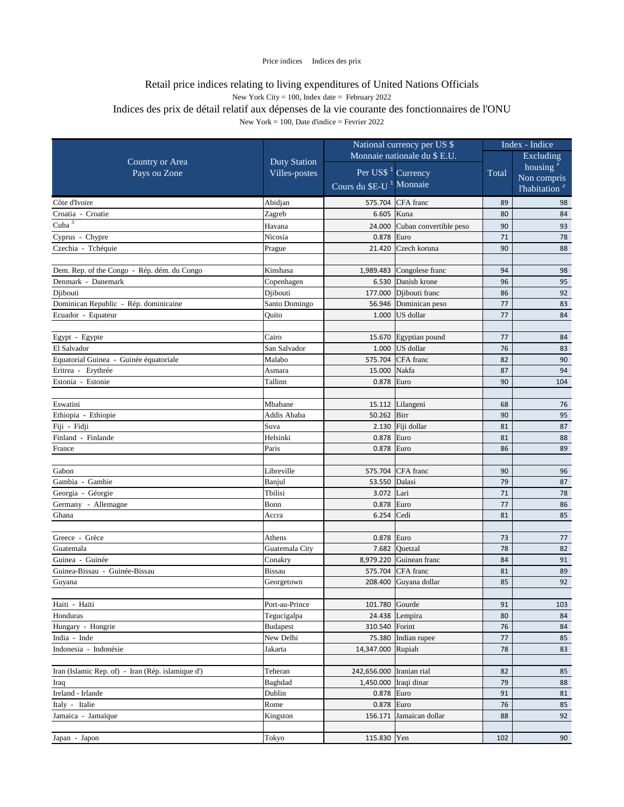|                                                   |                              | National currency per US \$         |                                   | Index - Indice |                           |
|---------------------------------------------------|------------------------------|-------------------------------------|-----------------------------------|----------------|---------------------------|
|                                                   | Monnaie nationale du \$ E.U. |                                     |                                   | Excluding      |                           |
| <b>Country or Area</b>                            | <b>Duty Station</b>          | Per US\$ <sup>1</sup> Currency      |                                   |                | housing $2$               |
| Pays ou Zone                                      | Villes-postes                |                                     |                                   | Total          | Non compris               |
|                                                   |                              | Cours du \$E-U <sup>1</sup> Monnaie |                                   |                | l'habitation <sup>2</sup> |
| Côte d'Ivoire                                     | Abidjan                      |                                     | 575.704 CFA franc                 | 89             | 98                        |
| Croatia - Croatie                                 | Zagreb                       | 6.605                               | Kuna                              | 80             | 84                        |
| Cuba $3$                                          | Havana                       | 24.000                              | Cuban convertible peso            | 90             | 93                        |
| Cyprus - Chypre                                   | Nicosia                      | 0.878                               | Euro                              | 71             | 78                        |
| Czechia - Tchéquie                                | Prague                       | 21.420                              | Czech koruna                      | 90             | 88                        |
|                                                   |                              |                                     |                                   |                |                           |
| Dem. Rep. of the Congo - Rép. dém. du Congo       | Kinshasa                     |                                     | 1,989.483 $\vert$ Congolese franc | 94             | 98                        |
| Denmark - Danemark                                | Copenhagen                   |                                     | 6.530 Danish krone                | 96             | 95                        |
| Djibouti                                          | Djibouti                     | 177.000                             | Djibouti franc                    | 86             | 92                        |
| Dominican Republic - Rép. dominicaine             | Santo Domingo                | 56.946                              | Dominican peso                    | 77             | 83                        |
| Ecuador - Equateur                                | Quito                        | 1.000                               | US dollar                         | 77             | 84                        |
|                                                   |                              |                                     |                                   |                |                           |
| Egypt - Egypte                                    | Cairo                        |                                     | 15.670 Egyptian pound             | 77             | 84                        |
| El Salvador                                       | San Salvador                 | 1.000                               | US dollar                         | 76             | 83                        |
| Equatorial Guinea - Guinée équatoriale            | Malabo                       |                                     | 575.704 CFA franc                 | 82             | 90                        |
| Eritrea - Erythrée                                | Asmara                       | 15.000                              | Nakfa                             | 87             | 94                        |
| Estonia - Estonie                                 | Tallinn                      | 0.878                               | Euro                              | 90             | 104                       |
|                                                   |                              |                                     |                                   |                |                           |
| Eswatini                                          | Mbabane                      |                                     | 15.112 Lilangeni                  | 68             | 76                        |
| Ethiopia - Ethiopie                               | Addis Ababa                  | 50.262 Birr                         |                                   | 90             | 95                        |
| Fiji - Fidji                                      | Suva                         |                                     | 2.130 Fiji dollar                 | 81             | 87                        |
| Finland - Finlande                                | Helsinki                     | $0.878$ Euro                        |                                   | 81             | 88                        |
| France                                            | Paris                        | 0.878                               | Euro                              | 86             | 89                        |
| Gabon                                             | Libreville                   |                                     | 575.704 CFA franc                 | 90             | 96                        |
| Gambia - Gambie                                   | Banjul                       | 53.550 Dalasi                       |                                   | 79             | 87                        |
| Georgia - Géorgie                                 | Tbilisi                      | 3.072 Lari                          |                                   | 71             | 78                        |
| Germany - Allemagne                               | Bonn                         | 0.878 Euro                          |                                   | 77             | 86                        |
| Ghana                                             | Accra                        | 6.254 $\vert$ Cedi                  |                                   | 81             | 85                        |
|                                                   |                              |                                     |                                   |                |                           |
| Greece - Grèce                                    | Athens                       | $0.878$ Euro                        |                                   | 73             | 77                        |
| Guatemala                                         | Guatemala City               |                                     | 7.682 $Quetzal$                   | 78             | 82                        |
| Guinea - Guinée                                   | Conakry                      |                                     | 8,979.220 Guinean franc           | 84             | 91                        |
| Guinea-Bissau - Guinée-Bissau                     | <b>Bissau</b>                |                                     | 575.704 CFA franc                 | 81             | 89                        |
| Guyana                                            | Georgetown                   |                                     | 208.400 Guyana dollar             | 85             | 92                        |
|                                                   |                              |                                     |                                   |                |                           |
| Haiti - Haïti                                     | Port-au-Prince               | 101.780 Gourde                      |                                   | 91             | 103                       |
| Honduras                                          | Tegucigalpa                  |                                     | 24.438 Lempira                    | 80             | 84                        |
| Hungary - Hongrie                                 | <b>Budapest</b>              | 310.540 Forint                      |                                   | 76             | 84                        |
| India - Inde                                      | New Delhi                    | 75.380                              | Indian rupee                      | 77             | 85                        |
| Indonesia - Indonésie                             | Jakarta                      | 14,347.000 Rupiah                   |                                   | 78             | 83                        |
|                                                   |                              |                                     |                                   |                |                           |
| Iran (Islamic Rep. of) - Iran (Rép. islamique d') | Teheran                      | 242,656.000   Iranian rial          |                                   | 82             | 85                        |
| Iraq                                              | Baghdad                      |                                     | 1,450.000 Iraqi dinar             | 79             | 88                        |
| Ireland - Irlande                                 | Dublin                       | 0.878                               | Euro                              | 91             | 81                        |
| Italy - Italie                                    | Rome                         | 0.878 Euro                          |                                   | 76             | 85                        |
| Jamaica - Jamaïque                                | Kingston                     | 156.171                             | Jamaican dollar                   | 88             | 92                        |
|                                                   |                              |                                     |                                   |                |                           |
| Japan - Japon                                     | Tokyo                        | 115.830 Yen                         |                                   | 102            | 90                        |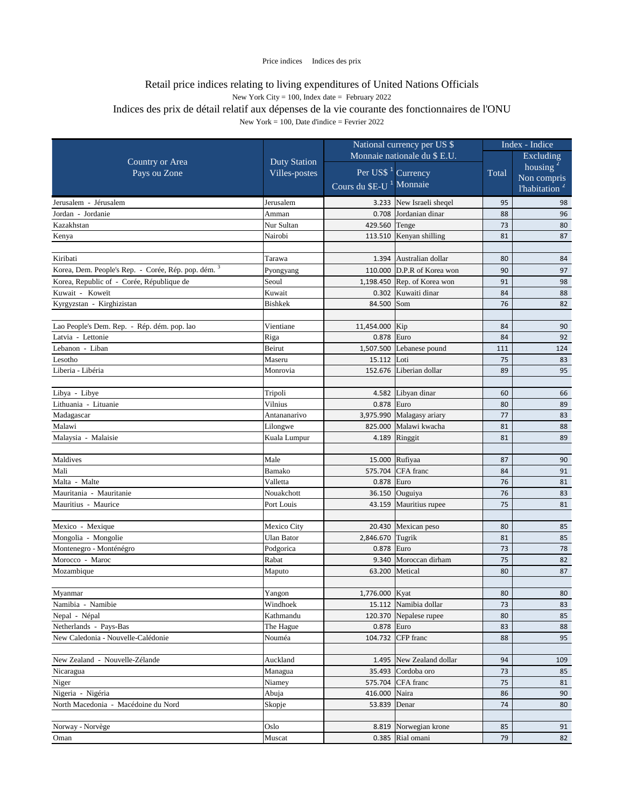|                                                     |                              | National currency per US \$                |                             | Index - Indice |                           |
|-----------------------------------------------------|------------------------------|--------------------------------------------|-----------------------------|----------------|---------------------------|
|                                                     | Monnaie nationale du \$ E.U. |                                            |                             | Excluding      |                           |
| <b>Country or Area</b>                              | <b>Duty Station</b>          |                                            |                             |                | housing $\frac{2}{3}$     |
| Pays ou Zone                                        | Villes-postes                | Per US\$ <sup>1</sup> Currency             |                             | Total          | Non compris               |
|                                                     |                              | Cours du <b>\$E-U</b> <sup>1</sup> Monnaie |                             |                | l'habitation <sup>2</sup> |
| Jerusalem - Jérusalem                               | Jerusalem                    |                                            | 3.233 New Israeli sheqel    | 95             | 98                        |
| Jordan - Jordanie                                   | Amman                        |                                            | 0.708 Jordanian dinar       | 88             | 96                        |
| Kazakhstan                                          | Nur Sultan                   | 429.560 Tenge                              |                             | 73             | 80                        |
| Kenya                                               | Nairobi                      |                                            | 113.510 Kenyan shilling     | 81             | 87                        |
|                                                     |                              |                                            |                             |                |                           |
| Kiribati                                            | Tarawa                       |                                            | 1.394 Australian dollar     | 80             | 84                        |
| Korea, Dem. People's Rep. - Corée, Rép. pop. dém. 3 | Pyongyang                    |                                            | 110.000 D.P.R of Korea won  | 90             | 97                        |
| Korea, Republic of - Corée, République de           | Seoul                        |                                            | 1,198.450 Rep. of Korea won | 91             | 98                        |
| Kuwait - Koweït                                     | Kuwait                       |                                            | 0.302 Kuwaiti dinar         | 84             | 88                        |
| Kyrgyzstan - Kirghizistan                           | <b>Bishkek</b>               | 84.500                                     | Som                         | 76             | 82                        |
|                                                     |                              |                                            |                             |                |                           |
| Lao People's Dem. Rep. - Rép. dém. pop. lao         | Vientiane                    | 11,454.000 Kip                             |                             | 84             | 90                        |
| Latvia - Lettonie                                   | Riga                         | 0.878 Euro                                 |                             | 84             | 92                        |
| Lebanon - Liban                                     | Beirut                       |                                            | 1,507.500 Lebanese pound    | 111            | 124                       |
| Lesotho                                             | Maseru                       | 15.112 Loti                                |                             | 75             | 83                        |
| Liberia - Libéria                                   | Monrovia                     |                                            | 152.676 Liberian dollar     | 89             | 95                        |
|                                                     |                              |                                            |                             |                |                           |
| Libya - Libye                                       | Tripoli                      |                                            | 4.582 Libyan dinar          | 60             | 66                        |
| Lithuania - Lituanie                                | Vilnius                      | 0.878                                      | Euro                        | 80             | 89                        |
| Madagascar                                          | Antananarivo                 |                                            | 3,975.990 Malagasy ariary   | 77             | 83                        |
| Malawi                                              | Lilongwe                     | 825.000                                    | Malawi kwacha               | 81             | 88                        |
| Malaysia - Malaisie                                 | Kuala Lumpur                 |                                            | 4.189 Ringgit               | 81             | 89                        |
| Maldives                                            | Male                         |                                            | 15.000 Rufiyaa              | 87             | 90                        |
| Mali                                                | <b>Bamako</b>                |                                            | 575.704 CFA franc           | 84             | 91                        |
| Malta - Malte                                       | Valletta                     | $0.878$ Euro                               |                             | 76             | 81                        |
| Mauritania - Mauritanie                             | Nouakchott                   |                                            | 36.150 Ouguiya              | 76             | 83                        |
| Mauritius - Maurice                                 | Port Louis                   |                                            | 43.159 Mauritius rupee      | 75             | 81                        |
|                                                     |                              |                                            |                             |                |                           |
| Mexico - Mexique                                    | Mexico City                  |                                            | 20.430 Mexican peso         | 80             | 85                        |
| Mongolia - Mongolie                                 | <b>Ulan Bator</b>            | 2,846.670 Tugrik                           |                             | 81             | 85                        |
| Montenegro - Monténégro                             | Podgorica                    | 0.878 Euro                                 |                             | 73             | 78                        |
| Morocco - Maroc                                     | Rabat                        |                                            | 9.340 Moroccan dirham       | 75             | 82                        |
| Mozambique                                          | Maputo                       | 63.200                                     | Metical                     | 80             | 87                        |
|                                                     |                              |                                            |                             |                |                           |
| Myanmar                                             | Yangon                       | 1,776.000 Kyat                             |                             | 80             | 80                        |
| Namibia - Namibie                                   | Windhoek                     |                                            | 15.112 Namibia dollar       | 73             | 83                        |
| Nepal - Népal                                       | Kathmandu                    |                                            | 120.370 Nepalese rupee      | 80             | 85                        |
| Netherlands - Pays-Bas                              | The Hague                    | 0.878 Euro                                 |                             | 83             | 88                        |
| New Caledonia - Nouvelle-Calédonie                  | Nouméa                       |                                            | 104.732 CFP franc           | 88             | 95                        |
|                                                     |                              |                                            |                             |                |                           |
| New Zealand - Nouvelle-Zélande                      | Auckland                     |                                            | 1.495 New Zealand dollar    | 94             | 109                       |
| Nicaragua                                           | Managua                      |                                            | 35.493 Cordoba oro          | 73             | 85                        |
| Niger                                               | Niamey                       |                                            | 575.704 CFA franc           | 75             | 81                        |
| Nigeria - Nigéria                                   | Abuja                        | 416.000                                    | Naira                       | 86             | 90                        |
| North Macedonia - Macédoine du Nord                 | Skopje                       | 53.839 Denar                               |                             | 74             | 80                        |
|                                                     |                              |                                            |                             |                |                           |
| Norway - Norvège                                    | Oslo                         |                                            | 8.819 Norwegian krone       | 85             | 91                        |
| Oman                                                | Muscat                       |                                            | $0.385$ Rial omani          | 79             | 82                        |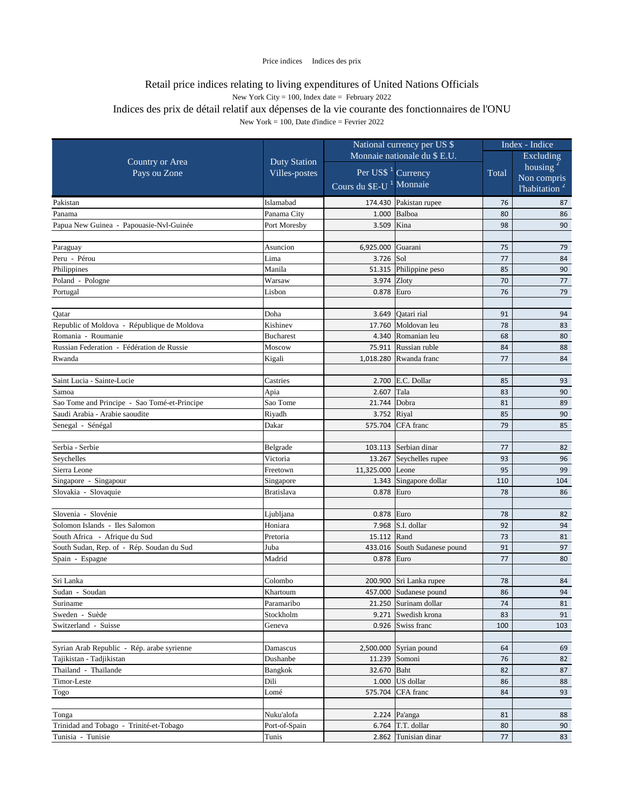|                                              |                     | National currency per US \$         |                              |       | Index - Indice            |
|----------------------------------------------|---------------------|-------------------------------------|------------------------------|-------|---------------------------|
|                                              |                     |                                     | Monnaie nationale du \$ E.U. |       | Excluding                 |
| <b>Country or Area</b>                       | <b>Duty Station</b> |                                     |                              |       | housing $2$               |
| Pays ou Zone                                 | Villes-postes       | Per US\$ <sup>1</sup> Currency      |                              | Total | Non compris               |
|                                              |                     | Cours du \$E-U <sup>1</sup> Monnaie |                              |       | l'habitation <sup>2</sup> |
| Pakistan                                     | Islamabad           |                                     | 174.430 Pakistan rupee       | 76    | 87                        |
| Panama                                       | Panama City         | 1.000                               | Balboa                       | 80    | 86                        |
| Papua New Guinea - Papouasie-Nvl-Guinée      | Port Moresby        | 3.509                               | Kina                         | 98    | 90                        |
|                                              |                     |                                     |                              |       |                           |
| Paraguay                                     | Asuncion            | 6,925.000                           | Guarani                      | 75    | 79                        |
| Peru - Pérou                                 | Lima                | $3.726$ Sol                         |                              | 77    | 84                        |
| Philippines                                  | Manila              |                                     | 51.315 Philippine peso       | 85    | 90                        |
| Poland - Pologne                             | Warsaw              | 3.974                               | Zloty                        | 70    | 77                        |
| Portugal                                     | Lisbon              | 0.878                               | Euro                         | 76    | 79                        |
|                                              |                     |                                     |                              |       |                           |
| Qatar                                        | Doha                | 3.649                               | Qatari rial                  | 91    | 94                        |
| Republic of Moldova - République de Moldova  | Kishinev            | 17.760                              | Moldovan leu                 | 78    | 83                        |
| Romania - Roumanie                           | <b>Bucharest</b>    | 4.340                               | Romanian leu                 | 68    | 80                        |
| Russian Federation - Fédération de Russie    | Moscow              | 75.911                              | Russian ruble                | 84    | 88                        |
| Rwanda                                       | Kigali              | 1,018.280                           | Rwanda franc                 | 77    | 84                        |
|                                              |                     |                                     |                              |       |                           |
| Saint Lucia - Sainte-Lucie                   | Castries            |                                     | 2.700 E.C. Dollar            | 85    | 93                        |
| Samoa                                        | Apia                | 2.607                               | Tala                         | 83    | 90                        |
| Sao Tome and Principe - Sao Tomé-et-Principe | Sao Tome            | 21.744                              | Dobra                        | 81    | 89                        |
| Saudi Arabia - Arabie saoudite               | Riyadh              | 3.752 Riyal                         |                              | 85    | 90                        |
| Senegal - Sénégal                            | Dakar               |                                     | 575.704 CFA franc            | 79    | 85                        |
| Serbia - Serbie                              | Belgrade            |                                     | 103.113 Serbian dinar        | 77    | 82                        |
| Seychelles                                   | Victoria            |                                     | 13.267 Seychelles rupee      | 93    | 96                        |
| Sierra Leone                                 | Freetown            | 11,325.000 Leone                    |                              | 95    | 99                        |
| Singapore - Singapour                        | Singapore           |                                     | 1.343 Singapore dollar       | 110   | 104                       |
| Slovakia - Slovaquie                         | Bratislava          | $0.878$ Euro                        |                              | 78    | 86                        |
|                                              |                     |                                     |                              |       |                           |
| Slovenia - Slovénie                          | Ljubljana           | 0.878 Euro                          |                              | 78    | 82                        |
| Solomon Islands - Iles Salomon               | Honiara             |                                     | 7.968 $\vert$ S.I. dollar    | 92    | 94                        |
| South Africa - Afrique du Sud                | Pretoria            | 15.112 Rand                         |                              | 73    | 81                        |
| South Sudan, Rep. of - Rép. Soudan du Sud    | Juba                |                                     | 433.016 South Sudanese pound | 91    | 97                        |
| Spain - Espagne                              | Madrid              | $0.878$ Euro                        |                              | 77    | 80                        |
|                                              |                     |                                     |                              |       |                           |
| Sri Lanka                                    | Colombo             |                                     | 200.900 Sri Lanka rupee      | 78    | 84                        |
| Sudan - Soudan                               | Khartoum            | 457.000                             | Sudanese pound               | 86    | 94                        |
| Suriname                                     | Paramaribo          |                                     | 21.250 Surinam dollar        | 74    | 81                        |
| Sweden - Suède                               | Stockholm           |                                     | 9.271 Swedish krona          | 83    | 91                        |
| Switzerland - Suisse                         | Geneva              |                                     | $0.926$ Swiss franc          | 100   | 103                       |
| Syrian Arab Republic - Rép. arabe syrienne   | Damascus            |                                     | $2,500.000$ Syrian pound     | 64    | 69                        |
| Tajikistan - Tadjikistan                     | Dushanbe            |                                     | 11.239 Somoni                | 76    | 82                        |
| Thailand - Thaïlande                         | Bangkok             | 32.670                              | Baht                         | 82    | 87                        |
| Timor-Leste                                  | Dili                |                                     | $1.000$ US dollar            | 86    | 88                        |
| Togo                                         | Lomé                |                                     | 575.704 CFA franc            | 84    | 93                        |
|                                              |                     |                                     |                              |       |                           |
| Tonga                                        | Nuku'alofa          |                                     | 2.224 $\sqrt{Pa^2}$          | 81    | 88                        |
| Trinidad and Tobago - Trinité-et-Tobago      | Port-of-Spain       |                                     | 6.764 $\vert$ T.T. dollar    | 80    | 90                        |
| Tunisia - Tunisie                            | Tunis               |                                     | 2.862 Tunisian dinar         | 77    | 83                        |